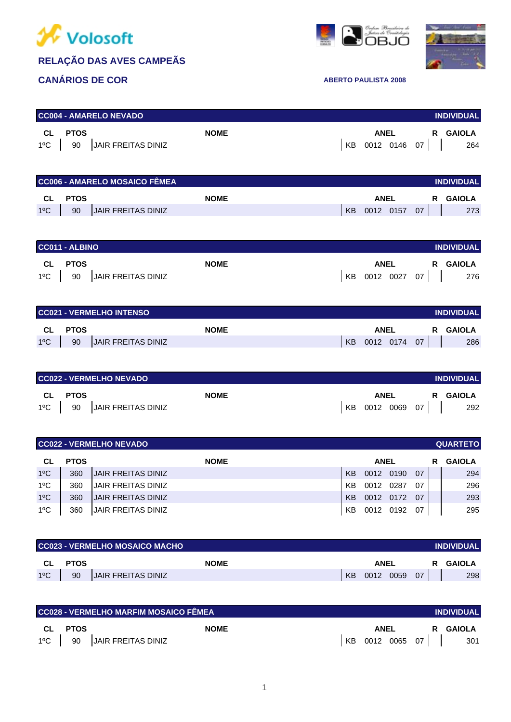





| <b>CC004 - AMARELO NEVADO</b><br><b>INDIVIDUAL</b>        |                                                |             |    |                          |          |                      |  |  |  |  |  |
|-----------------------------------------------------------|------------------------------------------------|-------------|----|--------------------------|----------|----------------------|--|--|--|--|--|
| <b>CL</b><br>$1^{\circ}$ C                                | <b>PTOS</b><br><b>JAIR FREITAS DINIZ</b><br>90 | <b>NOME</b> | КB | <b>ANEL</b><br>0012 0146 | R.<br>07 | <b>GAIOLA</b><br>264 |  |  |  |  |  |
| <b>CC006 - AMARELO MOSAICO FÊMEA</b><br><b>INDIVIDUAL</b> |                                                |             |    |                          |          |                      |  |  |  |  |  |
|                                                           |                                                |             |    |                          |          |                      |  |  |  |  |  |
| <b>CL</b>                                                 | <b>PTOS</b>                                    | <b>NOME</b> |    | <b>ANEL</b>              | R.       | <b>GAIOLA</b>        |  |  |  |  |  |
| $1^{\circ}$ C                                             | <b>JAIR FREITAS DINIZ</b><br>90                |             | KB | 0012 0157                | 07       | 273                  |  |  |  |  |  |
|                                                           |                                                |             |    |                          |          |                      |  |  |  |  |  |

| CC011 - ALBINO                |             |             |                 | <b>INDIVIDUAL</b> |
|-------------------------------|-------------|-------------|-----------------|-------------------|
| <b>CL PTOS</b>                | <b>NOME</b> | <b>ANEL</b> |                 | R GAIOLA          |
| 1°C   90   JAIR FREITAS DINIZ |             |             | KB 0012 0027 07 | 276               |

|               |             | CC021 - VERMELHO INTENSO  |             |    |             |           |    | <b>INDIVIDUAL</b> |        |
|---------------|-------------|---------------------------|-------------|----|-------------|-----------|----|-------------------|--------|
| <b>CL</b>     | <b>PTOS</b> |                           | <b>NOME</b> |    | <b>ANEL</b> |           |    | R.                | GAIOLA |
| $1^{\circ}$ C | 90          | <b>JAIR FREITAS DINIZ</b> |             | KB |             | 0012 0174 | 07 |                   | 286    |

|               | CC022 - VERMELHO NEVADO |                    |             |     |      |  |              |          |
|---------------|-------------------------|--------------------|-------------|-----|------|--|--------------|----------|
| <b>CL</b>     | PTOS                    |                    | <b>NOME</b> |     | ANEL |  |              | R GAIOLA |
| $1^{\circ}$ C | 90                      | JAIR FREITAS DINIZ |             | KB. |      |  | 0012 0069 07 | 292      |

|               |             | CC022 - VERMELHO NEVADO   |                |             |      |    |   | <b>QUARTETO</b> |
|---------------|-------------|---------------------------|----------------|-------------|------|----|---|-----------------|
| CL.           | <b>PTOS</b> | <b>NOME</b>               |                | <b>ANEL</b> |      |    | R | <b>GAIOLA</b>   |
| $1^{\circ}$ C | 360         | <b>JAIR FREITAS DINIZ</b> | <b>KB</b>      | 0012        | 0190 | 07 |   | 294             |
| $1^{\circ}$ C | 360         | JAIR FREITAS DINIZ        | KB             | 0012        | 0287 | 07 |   | 296             |
| $1^{\circ}$ C | 360         | JAIR FREITAS DINIZ        | K <sub>B</sub> | 0012        | 0172 | 07 |   | 293             |
| $1^{\circ}$ C | 360         | IJAIR FREITAS DINIZ       | KB             | 0012        | 0192 | 07 |   | 295             |

|               |             | CC023 - VERMELHO MOSAICO MACHO |     |      |      |    | <b>INDIVIDUAL</b> |
|---------------|-------------|--------------------------------|-----|------|------|----|-------------------|
| CL            | <b>PTOS</b> | <b>NOME</b>                    |     | ANEL |      | R  | <b>GAIOLA</b>     |
| $1^{\circ}$ C | 90          | <b>JAIR FREITAS DINIZ</b>      | KB. | 0012 | 0059 | 07 | 298               |

|         | CC028 - VERMELHO MARFIM MOSAICO FÊMEA |      |                 |  |  |          | <b>INDIVIDUAL</b> |
|---------|---------------------------------------|------|-----------------|--|--|----------|-------------------|
| CL PTOS | <b>NOME</b>                           | ANEL |                 |  |  | R GAIOLA |                   |
|         | 1°C   90   JAIR FREITAS DINIZ         |      | KB 0012 0065 07 |  |  |          | 301               |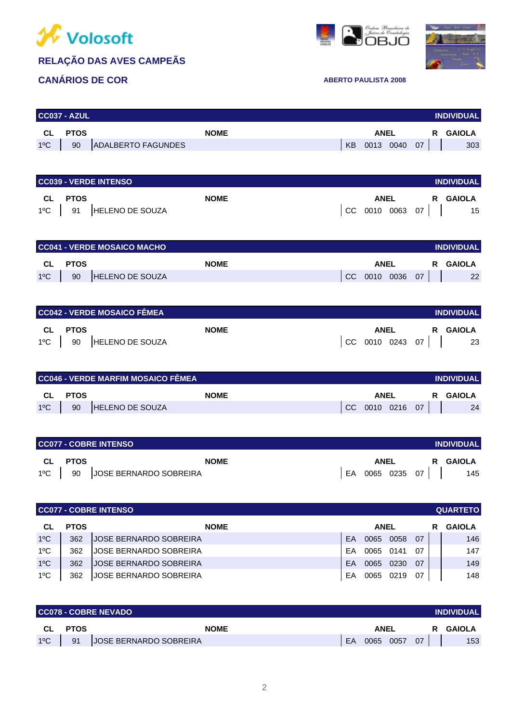

#### **CANÁRIOS DE COR ABERTO PAULISTA 2008**





| <b>PTOS</b><br><b>ANEL</b><br><b>CL</b><br><b>NOME</b><br>R GAIOLA<br>$1^{\circ}C$   90<br>ADALBERTO FAGUNDES<br>KB 0013 0040 07  <br><b>CC039 - VERDE INTENSO</b><br><b>INDIVIDUAL</b><br>CL PTOS<br><b>NOME</b><br>ANEL R GAIOLA<br>$ CC$ 0010 0063 07     15<br>1°C   91   HELENO DE SOUZA<br>CC041 - VERDE MOSAICO MACHO<br><b>INDIVIDUAL</b><br><b>CL</b><br><b>PTOS</b><br>R GAIOLA<br><b>NOME</b><br><b>ANEL</b><br>90   HELENO DE SOUZA<br>CC 0010 0036 07    <br>$1^{\circ}$ C<br><b>CC042 - VERDE MOSAICO FÊMEA</b><br>CL PTOS<br><b>NOME</b><br><b>ANEL</b><br>R GAIOLA<br>$ CC 0010 0243 07  $ 23<br>1°C   90   HELENO DE SOUZA<br>CC046 - VERDE MARFIM MOSAICO FÊMEA<br><b>INDIVIDUAL</b><br><b>PTOS</b><br><b>ANEL</b><br><b>CL</b><br><b>NOME</b><br>R GAIOLA<br>$CC$ 0010 0216 07<br>$1^{\circ}$ C<br>HELENO DE SOUZA<br>90<br><b>CC077 - COBRE INTENSO</b><br><b>INDIVIDUAL</b><br><b>CL</b><br><b>PTOS</b><br><b>NOME</b><br><b>ANEL</b><br>R GAIOLA | CC037 - AZUL |  |  |  | <b>INDIVIDUAL</b> |
|------------------------------------------------------------------------------------------------------------------------------------------------------------------------------------------------------------------------------------------------------------------------------------------------------------------------------------------------------------------------------------------------------------------------------------------------------------------------------------------------------------------------------------------------------------------------------------------------------------------------------------------------------------------------------------------------------------------------------------------------------------------------------------------------------------------------------------------------------------------------------------------------------------------------------------------------------------------------|--------------|--|--|--|-------------------|
|                                                                                                                                                                                                                                                                                                                                                                                                                                                                                                                                                                                                                                                                                                                                                                                                                                                                                                                                                                        |              |  |  |  |                   |
|                                                                                                                                                                                                                                                                                                                                                                                                                                                                                                                                                                                                                                                                                                                                                                                                                                                                                                                                                                        |              |  |  |  | 303               |
|                                                                                                                                                                                                                                                                                                                                                                                                                                                                                                                                                                                                                                                                                                                                                                                                                                                                                                                                                                        |              |  |  |  |                   |
|                                                                                                                                                                                                                                                                                                                                                                                                                                                                                                                                                                                                                                                                                                                                                                                                                                                                                                                                                                        |              |  |  |  |                   |
|                                                                                                                                                                                                                                                                                                                                                                                                                                                                                                                                                                                                                                                                                                                                                                                                                                                                                                                                                                        |              |  |  |  |                   |
|                                                                                                                                                                                                                                                                                                                                                                                                                                                                                                                                                                                                                                                                                                                                                                                                                                                                                                                                                                        |              |  |  |  |                   |
|                                                                                                                                                                                                                                                                                                                                                                                                                                                                                                                                                                                                                                                                                                                                                                                                                                                                                                                                                                        |              |  |  |  |                   |
|                                                                                                                                                                                                                                                                                                                                                                                                                                                                                                                                                                                                                                                                                                                                                                                                                                                                                                                                                                        |              |  |  |  |                   |
|                                                                                                                                                                                                                                                                                                                                                                                                                                                                                                                                                                                                                                                                                                                                                                                                                                                                                                                                                                        |              |  |  |  |                   |
|                                                                                                                                                                                                                                                                                                                                                                                                                                                                                                                                                                                                                                                                                                                                                                                                                                                                                                                                                                        |              |  |  |  |                   |
|                                                                                                                                                                                                                                                                                                                                                                                                                                                                                                                                                                                                                                                                                                                                                                                                                                                                                                                                                                        |              |  |  |  | 22                |
|                                                                                                                                                                                                                                                                                                                                                                                                                                                                                                                                                                                                                                                                                                                                                                                                                                                                                                                                                                        |              |  |  |  |                   |
|                                                                                                                                                                                                                                                                                                                                                                                                                                                                                                                                                                                                                                                                                                                                                                                                                                                                                                                                                                        |              |  |  |  | <b>INDIVIDUAL</b> |
|                                                                                                                                                                                                                                                                                                                                                                                                                                                                                                                                                                                                                                                                                                                                                                                                                                                                                                                                                                        |              |  |  |  |                   |
|                                                                                                                                                                                                                                                                                                                                                                                                                                                                                                                                                                                                                                                                                                                                                                                                                                                                                                                                                                        |              |  |  |  |                   |
|                                                                                                                                                                                                                                                                                                                                                                                                                                                                                                                                                                                                                                                                                                                                                                                                                                                                                                                                                                        |              |  |  |  |                   |
|                                                                                                                                                                                                                                                                                                                                                                                                                                                                                                                                                                                                                                                                                                                                                                                                                                                                                                                                                                        |              |  |  |  |                   |
|                                                                                                                                                                                                                                                                                                                                                                                                                                                                                                                                                                                                                                                                                                                                                                                                                                                                                                                                                                        |              |  |  |  |                   |
|                                                                                                                                                                                                                                                                                                                                                                                                                                                                                                                                                                                                                                                                                                                                                                                                                                                                                                                                                                        |              |  |  |  | 24                |
|                                                                                                                                                                                                                                                                                                                                                                                                                                                                                                                                                                                                                                                                                                                                                                                                                                                                                                                                                                        |              |  |  |  |                   |
|                                                                                                                                                                                                                                                                                                                                                                                                                                                                                                                                                                                                                                                                                                                                                                                                                                                                                                                                                                        |              |  |  |  |                   |
|                                                                                                                                                                                                                                                                                                                                                                                                                                                                                                                                                                                                                                                                                                                                                                                                                                                                                                                                                                        |              |  |  |  |                   |
|                                                                                                                                                                                                                                                                                                                                                                                                                                                                                                                                                                                                                                                                                                                                                                                                                                                                                                                                                                        |              |  |  |  |                   |
| 1°C   90   JOSE BERNARDO SOBREIRA<br>EA 0065 0235 07                                                                                                                                                                                                                                                                                                                                                                                                                                                                                                                                                                                                                                                                                                                                                                                                                                                                                                                   |              |  |  |  | 145               |
|                                                                                                                                                                                                                                                                                                                                                                                                                                                                                                                                                                                                                                                                                                                                                                                                                                                                                                                                                                        |              |  |  |  |                   |
| <b>CC077 - COBRE INTENSO</b>                                                                                                                                                                                                                                                                                                                                                                                                                                                                                                                                                                                                                                                                                                                                                                                                                                                                                                                                           |              |  |  |  | <b>QUARTETO</b>   |
| CL<br><b>PTOS</b><br><b>NOME</b><br><b>ANEL</b><br>R                                                                                                                                                                                                                                                                                                                                                                                                                                                                                                                                                                                                                                                                                                                                                                                                                                                                                                                   |              |  |  |  | <b>GAIOLA</b>     |
| $1^{\circ}C$<br>362<br>0065 0058<br>JOSE BERNARDO SOBREIRA<br>EA<br>07                                                                                                                                                                                                                                                                                                                                                                                                                                                                                                                                                                                                                                                                                                                                                                                                                                                                                                 |              |  |  |  | 146               |
| $1^{\circ}$ C<br>362<br>0065<br>JOSE BERNARDO SOBREIRA<br>EA<br>0141<br>07                                                                                                                                                                                                                                                                                                                                                                                                                                                                                                                                                                                                                                                                                                                                                                                                                                                                                             |              |  |  |  | 147               |
| $1^{\circ}$ C<br>0065<br>362<br><b>JOSE BERNARDO SOBREIRA</b><br>EA<br>0230<br>07<br>$1^{\circ}C$<br>JOSE BERNARDO SOBREIRA<br>0065<br>362<br>EA<br>0219<br>07                                                                                                                                                                                                                                                                                                                                                                                                                                                                                                                                                                                                                                                                                                                                                                                                         |              |  |  |  | 149<br>148        |

|               | <b>CC078 - COBRE NEVADO</b><br><b>INDIVIDUAL</b> |                        |    |             |      |    |    |        |  |
|---------------|--------------------------------------------------|------------------------|----|-------------|------|----|----|--------|--|
| <b>CL</b>     | <b>PTOS</b>                                      | <b>NOME</b>            |    | <b>ANEL</b> |      |    | R. | GAIOLA |  |
| $1^{\circ}$ C | 91                                               | JOSE BERNARDO SOBREIRA | EA | 0065        | 0057 | 07 |    | 153    |  |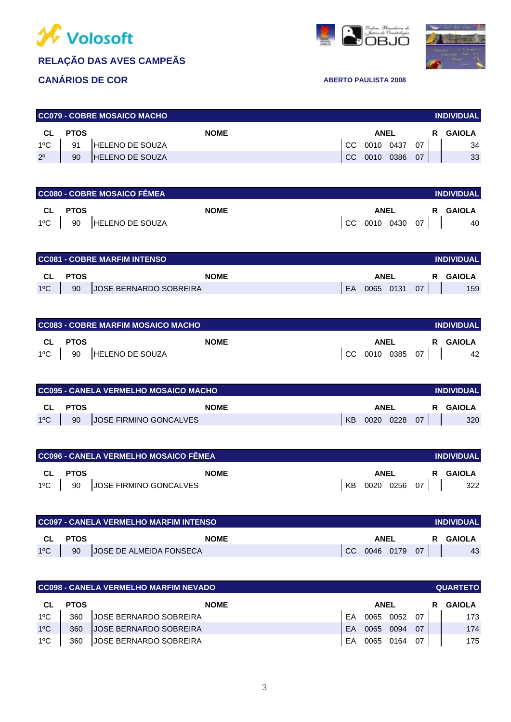





| <b>CC079 - COBRE MOSAICO MACHO</b><br><b>INDIVIDUAL</b> |             |                         |     |             |  |      |   |        |  |
|---------------------------------------------------------|-------------|-------------------------|-----|-------------|--|------|---|--------|--|
| CL                                                      | <b>PTOS</b> | <b>NOME</b>             |     | <b>ANEL</b> |  |      | R | GAIOLA |  |
| $1^{\circ}$ C                                           | 91          | <b>HELENO DE SOUZA</b>  | CC. | 0010 0437   |  | 07   |   | 34     |  |
| $2^{\circ}$                                             | 90          | <b>IHELENO DE SOUZA</b> | CC. | 0010 0386   |  | - 07 |   | 33     |  |

| CC080 - COBRE MOSAICO FÊMEA<br><b>INDIVIDUAL</b> |                            |             |  |                 |  |  |          |  |  |
|--------------------------------------------------|----------------------------|-------------|--|-----------------|--|--|----------|--|--|
| CL PTOS                                          |                            | <b>NOME</b> |  | <b>ANEL</b>     |  |  | R GAIOLA |  |  |
|                                                  | 1°C   90   HELENO DE SOUZA |             |  | CC 0010 0430 07 |  |  | 40       |  |  |

|               |             | <b>CC081 - COBRE MARFIM INTENSO</b> |    |  |           |    | <b>INDIVIDUAL</b> |
|---------------|-------------|-------------------------------------|----|--|-----------|----|-------------------|
| <b>CL</b>     | <b>PTOS</b> | <b>NOME</b><br>ANEL<br>R.           |    |  |           |    |                   |
| $1^{\circ}$ C | 90          | <b>JOSE BERNARDO SOBREIRA</b>       | EA |  | 0065 0131 | 07 | 159               |

|    |                    | CC083 - COBRE MARFIM MOSAICO MACHO |                 | <b>INDIVIDUAL</b> |
|----|--------------------|------------------------------------|-----------------|-------------------|
| CL | PTOS               | <b>NOME</b>                        | ANEL            | R GAIOLA          |
|    | $1^{\circ}$ C   90 | HELENO DE SOUZA                    | CC 0010 0385 07 | 42                |

|               | I CC095 - CANELA VERMELHO MOSAICO MACHO |                               |    |        |      |    | <b>INDIVIDUAL</b> |
|---------------|-----------------------------------------|-------------------------------|----|--------|------|----|-------------------|
| <b>CL</b>     | <b>PTOS</b>                             | <b>NOME</b>                   |    | GAIOLA |      |    |                   |
| $1^{\circ}$ C | 90                                      | <b>JOSE FIRMINO GONCALVES</b> | KB | 0020   | 0228 | 07 | 320               |

| CC096 - CANELA VERMELHO MOSAICO FÊMEA |                               |    |             |                | <b>INDIVIDUAL</b> |
|---------------------------------------|-------------------------------|----|-------------|----------------|-------------------|
| CL PTOS                               | <b>NOME</b>                   |    | <b>ANEL</b> |                | R GAIOLA          |
|                                       | 1ºC 90 JOSE FIRMINO GONCALVES | KB |             | $0020$ 0256 07 | 322               |

|               |             | I CC097 - CANELA VERMELHO MARFIM INTENSO |               |           |  |    | <b>INDIVIDUAL</b> |
|---------------|-------------|------------------------------------------|---------------|-----------|--|----|-------------------|
| CL            | <b>PTOS</b> | <b>NOME</b>                              | ANEL          |           |  |    | GAIOLA<br>R.      |
| $1^{\circ}$ C | 90          | <b>JOSE DE ALMEIDA FONSECA</b>           | <sub>CC</sub> | 0046 0179 |  | 07 | 43                |

|               | CC098 - CANELA VERMELHO MARFIM NEVADO |                               |    |             |      |    |   | <b>QUARTETO</b> |
|---------------|---------------------------------------|-------------------------------|----|-------------|------|----|---|-----------------|
| CL            | <b>PTOS</b>                           | <b>NOME</b>                   |    | <b>ANEL</b> |      |    | R | <b>GAIOLA</b>   |
| $1^{\circ}$ C | 360                                   | <b>JOSE BERNARDO SOBREIRA</b> | FA | 0065        | 0052 | 07 |   | 173             |
| $1^{\circ}$ C | 360                                   | <b>JOSE BERNARDO SOBREIRA</b> | FA | 0065        | 0094 | 07 |   | 174             |
| $1^{\circ}$ C | 360                                   | <b>JOSE BERNARDO SOBREIRA</b> | EA | 0065        | 0164 | 07 |   | 175             |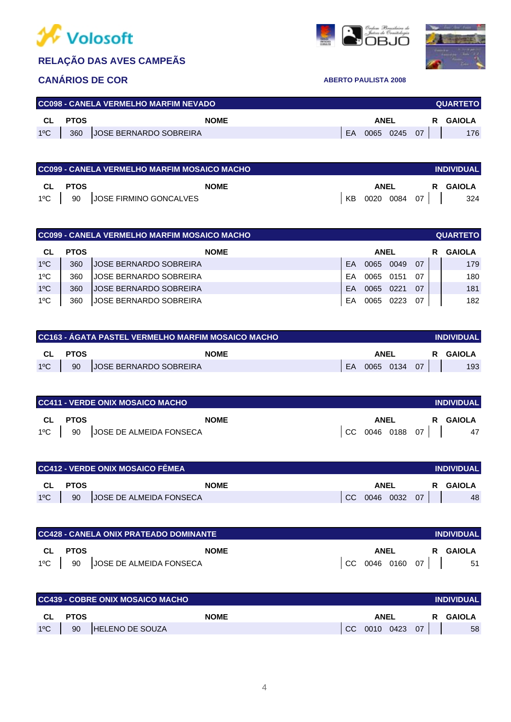





|              |             | <b>CC098 - CANELA VERMELHO MARFIM NEVADO</b> |     |                |  | <b>QUARTETO</b> |
|--------------|-------------|----------------------------------------------|-----|----------------|--|-----------------|
| CL CL        | <b>PTOS</b> | <b>NOME</b>                                  |     | <b>ANEL</b>    |  | R GAIOLA        |
| $1^{\circ}C$ | 360         | JOSE BERNARDO SOBREIRA                       | EA. | $0065$ 0245 07 |  | 176             |
|              |             |                                              |     |                |  |                 |

|         | <b>CC099 - CANELA VERMELHO MARFIM MOSAICO MACHO</b> |    |             |              | <b>INDIVIDUAL</b> |
|---------|-----------------------------------------------------|----|-------------|--------------|-------------------|
| CL PTOS | <b>NOME</b>                                         |    | <b>ANEL</b> |              | R GAIOLA          |
|         | 1°C   90   JOSE FIRMINO GONCALVES                   | KB |             | 0020 0084 07 | 324               |

|               | <b>CC099 - CANELA VERMELHO MARFIM MOSAICO MACHO</b><br><b>QUARTETO</b> |                               |           |             |      |    |  |               |  |
|---------------|------------------------------------------------------------------------|-------------------------------|-----------|-------------|------|----|--|---------------|--|
| CL            | <b>PTOS</b>                                                            | <b>NOME</b>                   |           | <b>ANEL</b> |      |    |  | <b>GAIOLA</b> |  |
| $1^{\circ}$ C | 360                                                                    | <b>JOSE BERNARDO SOBREIRA</b> | <b>FA</b> | 0065        | 0049 | 07 |  | 179           |  |
| $1^{\circ}$ C | 360                                                                    | JOSE BERNARDO SOBREIRA        | FA        | 0065        | 0151 | 07 |  | 180           |  |
| $1^{\circ}$ C | 360                                                                    | <b>JOSE BERNARDO SOBREIRA</b> | FA        | 0065        | 0221 | 07 |  | 181           |  |
| $1^{\circ}$ C | 360                                                                    | <b>JOSE BERNARDO SOBREIRA</b> | EA        | 0065        | 0223 | 07 |  | 182           |  |

|               |         | CC163 - ÁGATA PASTEL VERMELHO MARFIM MOSAICO MACHO |           |           |  |      | <b>INDIVIDUAL</b> |
|---------------|---------|----------------------------------------------------|-----------|-----------|--|------|-------------------|
|               | CL PTOS | <b>NOME</b>                                        | ANEL<br>R |           |  |      | GAIOLA            |
| $1^{\circ}$ C | 90      | <b>JOSE BERNARDO SOBREIRA</b>                      | EA        | 0065 0134 |  | - 07 | 193               |

|               | I CC411 - VERDE ONIX MOSAICO MACHO |                         |    |             |           |    | <b>INDIVIDUAL</b> |
|---------------|------------------------------------|-------------------------|----|-------------|-----------|----|-------------------|
| <b>CL</b>     | <b>PTOS</b>                        | <b>NOME</b>             |    | <b>ANEL</b> |           | R. | GAIOLA            |
| $1^{\circ}$ C | 90                                 | JOSE DE ALMEIDA FONSECA | CC |             | 0046 0188 | 07 | 47                |

| CC412 - VERDE ONIX MOSAICO FÊMEA<br><b>INDIVIDUAL</b> |             |                         |     |             |           |    |               |  |
|-------------------------------------------------------|-------------|-------------------------|-----|-------------|-----------|----|---------------|--|
| <b>CL</b>                                             | <b>PTOS</b> | <b>NOME</b>             |     | <b>ANEL</b> |           | R  | <b>GAIOLA</b> |  |
| $1^{\circ}$ C                                         | 90          | JOSE DE ALMEIDA FONSECA | CC. |             | 0046 0032 | 07 | 48            |  |

|               | I CC428 - CANELA ONIX PRATEADO DOMINANTE |                         |  |      |           |      | <b>INDIVIDUAL</b> |
|---------------|------------------------------------------|-------------------------|--|------|-----------|------|-------------------|
| CL.           | <b>PTOS</b>                              | <b>NOME</b>             |  | ANEL |           | R.   | GAIOLA            |
| $1^{\circ}$ C | 90                                       | JOSE DE ALMEIDA FONSECA |  |      | 0046 0160 | 07 I | 51                |

|               |             | CC439 - COBRE ONIX MOSAICO MACHO |     |             |      |    |        | <b>INDIVIDUAL</b> |
|---------------|-------------|----------------------------------|-----|-------------|------|----|--------|-------------------|
| CL.           | <b>PTOS</b> | <b>NOME</b>                      |     | <b>ANEI</b> |      | R. | GAIOLA |                   |
| $1^{\circ}$ C | 90          | <b>HELENO DE SOUZA</b>           | CC. | 0010        | 0423 | 07 |        | 58                |